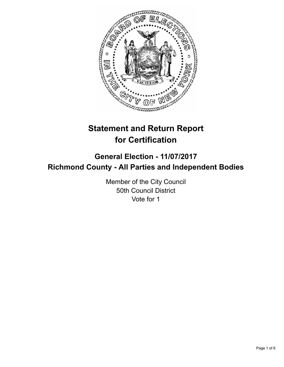

# **Statement and Return Report for Certification**

## **General Election - 11/07/2017 Richmond County - All Parties and Independent Bodies**

Member of the City Council 50th Council District Vote for 1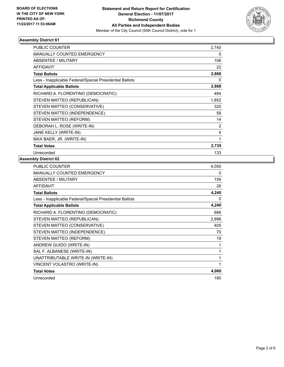

#### **Assembly District 61**

| <b>PUBLIC COUNTER</b>                                    | 2,740 |
|----------------------------------------------------------|-------|
| <b>MANUALLY COUNTED EMERGENCY</b>                        | 0     |
| ABSENTEE / MILITARY                                      | 106   |
| <b>AFFIDAVIT</b>                                         | 22    |
| <b>Total Ballots</b>                                     | 2,868 |
| Less - Inapplicable Federal/Special Presidential Ballots | 0     |
| <b>Total Applicable Ballots</b>                          | 2,868 |
| RICHARD A. FLORENTINO (DEMOCRATIC)                       | 484   |
| STEVEN MATTEO (REPUBLICAN)                               | 1,852 |
| STEVEN MATTEO (CONSERVATIVE)                             | 320   |
| STEVEN MATTEO (INDEPENDENCE)                             | 58    |
| STEVEN MATTEO (REFORM)                                   | 14    |
| DEBORAH L. ROSE (WRITE-IN)                               | 2     |
| JANE KELLY (WRITE-IN)                                    | 4     |
| MAX BAER, JR. (WRITE-IN)                                 | 1     |
| <b>Total Votes</b>                                       | 2,735 |
| Unrecorded                                               | 133   |

#### **Assembly District 62**

| <b>PUBLIC COUNTER</b>                                    | 4,055 |
|----------------------------------------------------------|-------|
| MANUALLY COUNTED EMERGENCY                               | 0     |
| ABSENTEE / MILITARY                                      | 159   |
| <b>AFFIDAVIT</b>                                         | 26    |
| <b>Total Ballots</b>                                     | 4,240 |
| Less - Inapplicable Federal/Special Presidential Ballots | 0     |
| <b>Total Applicable Ballots</b>                          | 4,240 |
| RICHARD A. FLORENTINO (DEMOCRATIC)                       | 666   |
| STEVEN MATTEO (REPUBLICAN)                               | 2,896 |
| STEVEN MATTEO (CONSERVATIVE)                             | 405   |
| STEVEN MATTEO (INDEPENDENCE)                             | 70    |
| STEVEN MATTEO (REFORM)                                   | 19    |
| ANDREW GUIDO (WRITE-IN)                                  | 1     |
| SAL F. ALBANESE (WRITE-IN)                               | 1     |
| UNATTRIBUTABLE WRITE-IN (WRITE-IN)                       | 1     |
| VINCENT VOLASTRO (WRITE-IN)                              | 1     |
| <b>Total Votes</b>                                       | 4,060 |
| Unrecorded                                               | 180   |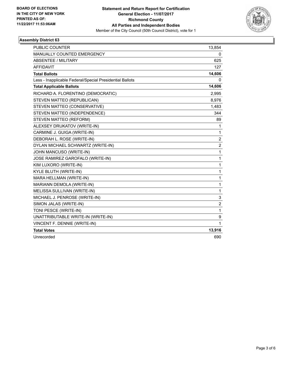

#### **Assembly District 63**

| <b>PUBLIC COUNTER</b>                                    | 13,854         |
|----------------------------------------------------------|----------------|
| <b>MANUALLY COUNTED EMERGENCY</b>                        | 0              |
| ABSENTEE / MILITARY                                      | 625            |
| <b>AFFIDAVIT</b>                                         | 127            |
| <b>Total Ballots</b>                                     | 14,606         |
| Less - Inapplicable Federal/Special Presidential Ballots | 0              |
| <b>Total Applicable Ballots</b>                          | 14,606         |
| RICHARD A. FLORENTINO (DEMOCRATIC)                       | 2,995          |
| STEVEN MATTEO (REPUBLICAN)                               | 8,976          |
| STEVEN MATTEO (CONSERVATIVE)                             | 1,483          |
| STEVEN MATTEO (INDEPENDENCE)                             | 344            |
| STEVEN MATTEO (REFORM)                                   | 89             |
| ALEXSEY DRUKATOV (WRITE-IN)                              | 1              |
| CARMINE J. GUIGA (WRITE-IN)                              | 1              |
| DEBORAH L. ROSE (WRITE-IN)                               | $\overline{2}$ |
| DYLAN MICHAEL SCHWARTZ (WRITE-IN)                        | $\overline{2}$ |
| JOHN MANCUSO (WRITE-IN)                                  | $\mathbf{1}$   |
| JOSE RAMIREZ GAROFALO (WRITE-IN)                         | 1              |
| KIM LUXORO (WRITE-IN)                                    | 1              |
| KYLE BLUTH (WRITE-IN)                                    | 1              |
| MARA HELLMAN (WRITE-IN)                                  | 1              |
| MARIANN DEMOLA (WRITE-IN)                                | 1              |
| MELISSA SULLIVAN (WRITE-IN)                              | 1              |
| MICHAEL J. PENROSE (WRITE-IN)                            | 3              |
| SIMON JALAS (WRITE-IN)                                   | $\overline{c}$ |
| TONI PESCE (WRITE-IN)                                    | $\mathbf{1}$   |
| UNATTRIBUTABLE WRITE-IN (WRITE-IN)                       | 9              |
| VINCENT F. DENNIE (WRITE-IN)                             | 1              |
| <b>Total Votes</b>                                       | 13,916         |
| Unrecorded                                               | 690            |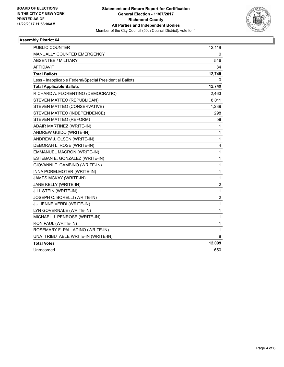

#### **Assembly District 64**

| PUBLIC COUNTER                                           | 12,119                  |
|----------------------------------------------------------|-------------------------|
| <b>MANUALLY COUNTED EMERGENCY</b>                        | 0                       |
| <b>ABSENTEE / MILITARY</b>                               | 546                     |
| <b>AFFIDAVIT</b>                                         | 84                      |
| <b>Total Ballots</b>                                     | 12,749                  |
| Less - Inapplicable Federal/Special Presidential Ballots | 0                       |
| <b>Total Applicable Ballots</b>                          | 12,749                  |
| RICHARD A. FLORENTINO (DEMOCRATIC)                       | 2,463                   |
| STEVEN MATTEO (REPUBLICAN)                               | 8,011                   |
| STEVEN MATTEO (CONSERVATIVE)                             | 1,239                   |
| STEVEN MATTEO (INDEPENDENCE)                             | 298                     |
| STEVEN MATTEO (REFORM)                                   | 58                      |
| ADAIR MARTINEZ (WRITE-IN)                                | 1                       |
| ANDREW GUIDO (WRITE-IN)                                  | 1                       |
| ANDREW J. OLSEN (WRITE-IN)                               | $\mathbf 1$             |
| DEBORAH L. ROSE (WRITE-IN)                               | 4                       |
| EMMANUEL MACRON (WRITE-IN)                               | $\mathbf{1}$            |
| ESTEBAN E. GONZALEZ (WRITE-IN)                           | $\mathbf 1$             |
| GIOVANNI F. GAMBINO (WRITE-IN)                           | $\mathbf{1}$            |
| INNA PORELMOTER (WRITE-IN)                               | $\mathbf{1}$            |
| JAMES MCKAY (WRITE-IN)                                   | $\mathbf{1}$            |
| JANE KELLY (WRITE-IN)                                    | 2                       |
| JILL STEIN (WRITE-IN)                                    | 1                       |
| JOSEPH C. BORELLI (WRITE-IN)                             | $\overline{\mathbf{c}}$ |
| JULIENNE VERDI (WRITE-IN)                                | 1                       |
| LYN GOVERNALE (WRITE-IN)                                 | 1                       |
| MICHAEL J. PENROSE (WRITE-IN)                            | $\mathbf{1}$            |
| RON PAUL (WRITE-IN)                                      | $\mathbf{1}$            |
| ROSEMARY F. PALLADINO (WRITE-IN)                         | 1                       |
| UNATTRIBUTABLE WRITE-IN (WRITE-IN)                       | 8                       |
| <b>Total Votes</b>                                       | 12,099                  |
| Unrecorded                                               | 650                     |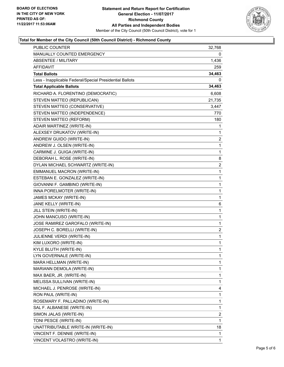

#### **Total for Member of the City Council (50th Council District) - Richmond County**

| PUBLIC COUNTER                                           | 32,768                  |
|----------------------------------------------------------|-------------------------|
| MANUALLY COUNTED EMERGENCY                               | 0                       |
| <b>ABSENTEE / MILITARY</b>                               | 1,436                   |
| AFFIDAVIT                                                | 259                     |
| <b>Total Ballots</b>                                     | 34,463                  |
| Less - Inapplicable Federal/Special Presidential Ballots | 0                       |
| <b>Total Applicable Ballots</b>                          | 34,463                  |
| RICHARD A. FLORENTINO (DEMOCRATIC)                       | 6,608                   |
| STEVEN MATTEO (REPUBLICAN)                               | 21,735                  |
| STEVEN MATTEO (CONSERVATIVE)                             | 3,447                   |
| STEVEN MATTEO (INDEPENDENCE)                             | 770                     |
| STEVEN MATTEO (REFORM)                                   | 180                     |
| ADAIR MARTINEZ (WRITE-IN)                                | 1                       |
| ALEXSEY DRUKATOV (WRITE-IN)                              | 1                       |
| ANDREW GUIDO (WRITE-IN)                                  | 2                       |
| ANDREW J. OLSEN (WRITE-IN)                               | 1                       |
| CARMINE J. GUIGA (WRITE-IN)                              | 1                       |
| DEBORAH L. ROSE (WRITE-IN)                               | 8                       |
| DYLAN MICHAEL SCHWARTZ (WRITE-IN)                        | $\overline{\mathbf{c}}$ |
| EMMANUEL MACRON (WRITE-IN)                               | $\mathbf{1}$            |
| ESTEBAN E. GONZALEZ (WRITE-IN)                           | 1                       |
| GIOVANNI F. GAMBINO (WRITE-IN)                           | 1                       |
| INNA PORELMOTER (WRITE-IN)                               | $\mathbf 1$             |
| JAMES MCKAY (WRITE-IN)                                   | 1                       |
| JANE KELLY (WRITE-IN)                                    | 6                       |
| JILL STEIN (WRITE-IN)                                    | 1                       |
| JOHN MANCUSO (WRITE-IN)                                  | 1                       |
| JOSE RAMIREZ GAROFALO (WRITE-IN)                         | 1                       |
| JOSEPH C. BORELLI (WRITE-IN)                             | $\overline{c}$          |
| JULIENNE VERDI (WRITE-IN)                                | 1                       |
| KIM LUXORO (WRITE-IN)                                    | 1                       |
| KYLE BLUTH (WRITE-IN)                                    | $\mathbf{1}$            |
| LYN GOVERNALE (WRITE-IN)                                 | 1                       |
| MARA HELLMAN (WRITE-IN)                                  | 1                       |
| MARIANN DEMOLA (WRITE-IN)                                | 1                       |
| MAX BAER, JR. (WRITE-IN)                                 | 1                       |
| MELISSA SULLIVAN (WRITE-IN)                              | 1                       |
| MICHAEL J. PENROSE (WRITE-IN)                            | 4                       |
| RON PAUL (WRITE-IN)                                      | 1                       |
| ROSEMARY F. PALLADINO (WRITE-IN)                         | 1                       |
| SAL F. ALBANESE (WRITE-IN)                               | 1                       |
| SIMON JALAS (WRITE-IN)                                   | 2                       |
| TONI PESCE (WRITE-IN)                                    | 1                       |
| UNATTRIBUTABLE WRITE-IN (WRITE-IN)                       | 18                      |
| VINCENT F. DENNIE (WRITE-IN)                             | 1                       |
| VINCENT VOLASTRO (WRITE-IN)                              | 1                       |
|                                                          |                         |